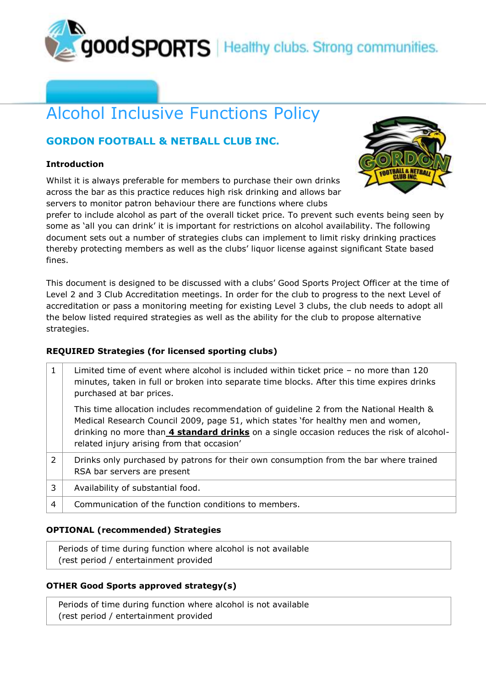

# Alcohol Inclusive Functions Policy

## **GORDON FOOTBALL & NETBALL CLUB INC.**

#### **Introduction**

Whilst it is always preferable for members to purchase their own drinks across the bar as this practice reduces high risk drinking and allows bar servers to monitor patron behaviour there are functions where clubs



prefer to include alcohol as part of the overall ticket price. To prevent such events being seen by some as 'all you can drink' it is important for restrictions on alcohol availability. The following document sets out a number of strategies clubs can implement to limit risky drinking practices thereby protecting members as well as the clubs' liquor license against significant State based fines.

This document is designed to be discussed with a clubs' Good Sports Project Officer at the time of Level 2 and 3 Club Accreditation meetings. In order for the club to progress to the next Level of accreditation or pass a monitoring meeting for existing Level 3 clubs, the club needs to adopt all the below listed required strategies as well as the ability for the club to propose alternative strategies.

#### **REQUIRED Strategies (for licensed sporting clubs)**

|               | Limited time of event where alcohol is included within ticket price - no more than 120<br>minutes, taken in full or broken into separate time blocks. After this time expires drinks<br>purchased at bar prices.                                                                                                      |
|---------------|-----------------------------------------------------------------------------------------------------------------------------------------------------------------------------------------------------------------------------------------------------------------------------------------------------------------------|
|               | This time allocation includes recommendation of guideline 2 from the National Health &<br>Medical Research Council 2009, page 51, which states 'for healthy men and women,<br>drinking no more than 4 standard drinks on a single occasion reduces the risk of alcohol-<br>related injury arising from that occasion' |
| $\mathcal{P}$ | Drinks only purchased by patrons for their own consumption from the bar where trained<br>RSA bar servers are present                                                                                                                                                                                                  |
| 3             | Availability of substantial food.                                                                                                                                                                                                                                                                                     |
| 4             | Communication of the function conditions to members.                                                                                                                                                                                                                                                                  |

#### **OPTIONAL (recommended) Strategies**

Periods of time during function where alcohol is not available (rest period / entertainment provided

### **OTHER Good Sports approved strategy(s)**

Periods of time during function where alcohol is not available (rest period / entertainment provided